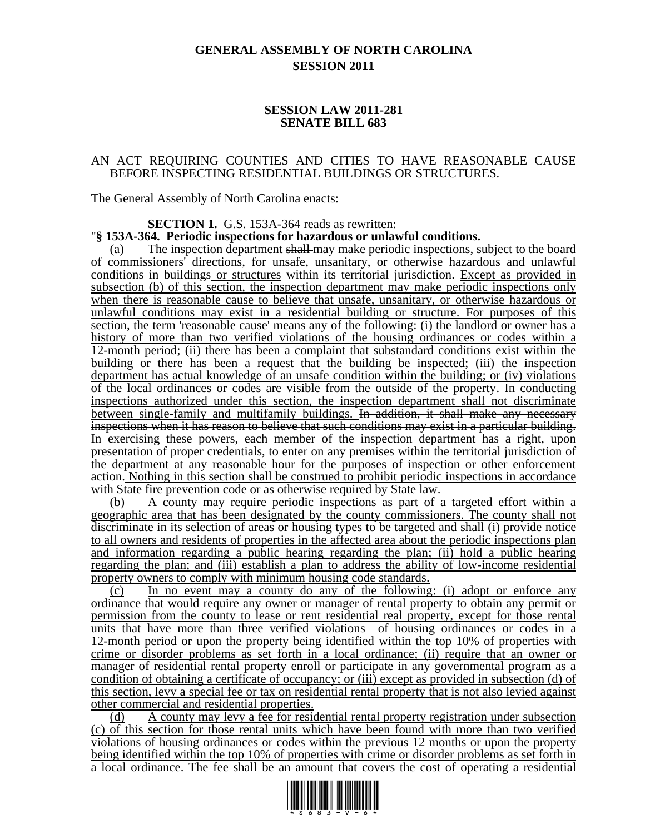# **GENERAL ASSEMBLY OF NORTH CAROLINA SESSION 2011**

### **SESSION LAW 2011-281 SENATE BILL 683**

#### AN ACT REQUIRING COUNTIES AND CITIES TO HAVE REASONABLE CAUSE BEFORE INSPECTING RESIDENTIAL BUILDINGS OR STRUCTURES.

The General Assembly of North Carolina enacts:

**SECTION 1.** G.S. 153A-364 reads as rewritten:

#### "**§ 153A-364. Periodic inspections for hazardous or unlawful conditions.**

(a) The inspection department shall-may make periodic inspections, subject to the board of commissioners' directions, for unsafe, unsanitary, or otherwise hazardous and unlawful conditions in buildings or structures within its territorial jurisdiction. Except as provided in subsection (b) of this section, the inspection department may make periodic inspections only when there is reasonable cause to believe that unsafe, unsanitary, or otherwise hazardous or unlawful conditions may exist in a residential building or structure. For purposes of this section, the term 'reasonable cause' means any of the following: (i) the landlord or owner has a history of more than two verified violations of the housing ordinances or codes within a 12-month period; (ii) there has been a complaint that substandard conditions exist within the building or there has been a request that the building be inspected; (iii) the inspection department has actual knowledge of an unsafe condition within the building; or (iv) violations of the local ordinances or codes are visible from the outside of the property. In conducting inspections authorized under this section, the inspection department shall not discriminate between single-family and multifamily buildings. In addition, it shall make any necessary inspections when it has reason to believe that such conditions may exist in a particular building. In exercising these powers, each member of the inspection department has a right, upon presentation of proper credentials, to enter on any premises within the territorial jurisdiction of the department at any reasonable hour for the purposes of inspection or other enforcement action. Nothing in this section shall be construed to prohibit periodic inspections in accordance with State fire prevention code or as otherwise required by State law.

(b) A county may require periodic inspections as part of a targeted effort within a geographic area that has been designated by the county commissioners. The county shall not discriminate in its selection of areas or housing types to be targeted and shall (i) provide notice to all owners and residents of properties in the affected area about the periodic inspections plan and information regarding a public hearing regarding the plan; (ii) hold a public hearing regarding the plan; and (iii) establish a plan to address the ability of low-income residential property owners to comply with minimum housing code standards.

(c) In no event may a county do any of the following: (i) adopt or enforce any ordinance that would require any owner or manager of rental property to obtain any permit or permission from the county to lease or rent residential real property, except for those rental units that have more than three verified violations of housing ordinances or codes in a 12-month period or upon the property being identified within the top 10% of properties with crime or disorder problems as set forth in a local ordinance; (ii) require that an owner or manager of residential rental property enroll or participate in any governmental program as a condition of obtaining a certificate of occupancy; or (iii) except as provided in subsection (d) of this section, levy a special fee or tax on residential rental property that is not also levied against other commercial and residential properties.

(d) A county may levy a fee for residential rental property registration under subsection (c) of this section for those rental units which have been found with more than two verified violations of housing ordinances or codes within the previous 12 months or upon the property being identified within the top 10% of properties with crime or disorder problems as set forth in a local ordinance. The fee shall be an amount that covers the cost of operating a residential

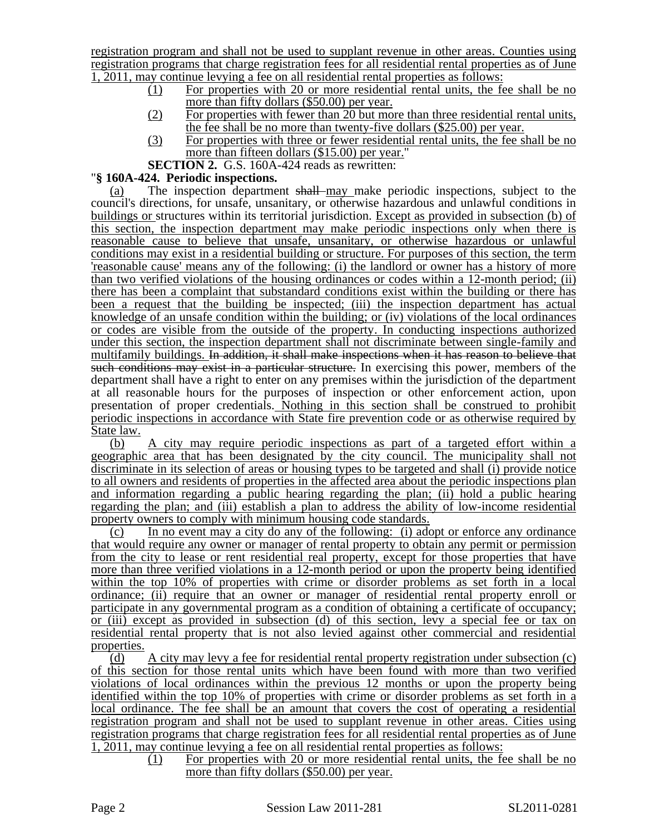registration program and shall not be used to supplant revenue in other areas. Counties using registration programs that charge registration fees for all residential rental properties as of June 1, 2011, may continue levying a fee on all residential rental properties as follows:

- (1) For properties with 20 or more residential rental units, the fee shall be no more than fifty dollars (\$50.00) per year.
- (2) For properties with fewer than 20 but more than three residential rental units, the fee shall be no more than twenty-five dollars (\$25.00) per year.
- (3) For properties with three or fewer residential rental units, the fee shall be no more than fifteen dollars (\$15.00) per year."

**SECTION 2.** G.S. 160A-424 reads as rewritten:

## "**§ 160A-424. Periodic inspections.**

(a) The inspection department shall may make periodic inspections, subject to the council's directions, for unsafe, unsanitary, or otherwise hazardous and unlawful conditions in buildings or structures within its territorial jurisdiction. Except as provided in subsection (b) of this section, the inspection department may make periodic inspections only when there is reasonable cause to believe that unsafe, unsanitary, or otherwise hazardous or unlawful conditions may exist in a residential building or structure. For purposes of this section, the term 'reasonable cause' means any of the following: (i) the landlord or owner has a history of more than two verified violations of the housing ordinances or codes within a 12-month period; (ii) there has been a complaint that substandard conditions exist within the building or there has been a request that the building be inspected; (iii) the inspection department has actual knowledge of an unsafe condition within the building; or (iv) violations of the local ordinances or codes are visible from the outside of the property. In conducting inspections authorized under this section, the inspection department shall not discriminate between single-family and multifamily buildings. In addition, it shall make inspections when it has reason to believe that such conditions may exist in a particular structure. In exercising this power, members of the department shall have a right to enter on any premises within the jurisdiction of the department at all reasonable hours for the purposes of inspection or other enforcement action, upon presentation of proper credentials. Nothing in this section shall be construed to prohibit periodic inspections in accordance with State fire prevention code or as otherwise required by State law.

(b) A city may require periodic inspections as part of a targeted effort within a geographic area that has been designated by the city council. The municipality shall not discriminate in its selection of areas or housing types to be targeted and shall (i) provide notice to all owners and residents of properties in the affected area about the periodic inspections plan and information regarding a public hearing regarding the plan; (ii) hold a public hearing regarding the plan; and (iii) establish a plan to address the ability of low-income residential property owners to comply with minimum housing code standards.

(c) In no event may a city do any of the following: (i) adopt or enforce any ordinance that would require any owner or manager of rental property to obtain any permit or permission from the city to lease or rent residential real property, except for those properties that have more than three verified violations in a 12-month period or upon the property being identified within the top 10% of properties with crime or disorder problems as set forth in a local ordinance; (ii) require that an owner or manager of residential rental property enroll or participate in any governmental program as a condition of obtaining a certificate of occupancy; or (iii) except as provided in subsection (d) of this section, levy a special fee or tax on residential rental property that is not also levied against other commercial and residential properties.

(d) A city may levy a fee for residential rental property registration under subsection (c) of this section for those rental units which have been found with more than two verified violations of local ordinances within the previous 12 months or upon the property being identified within the top 10% of properties with crime or disorder problems as set forth in a local ordinance. The fee shall be an amount that covers the cost of operating a residential registration program and shall not be used to supplant revenue in other areas. Cities using registration programs that charge registration fees for all residential rental properties as of June 1, 2011, may continue levying a fee on all residential rental properties as follows:

> (1) For properties with 20 or more residential rental units, the fee shall be no more than fifty dollars (\$50.00) per year.